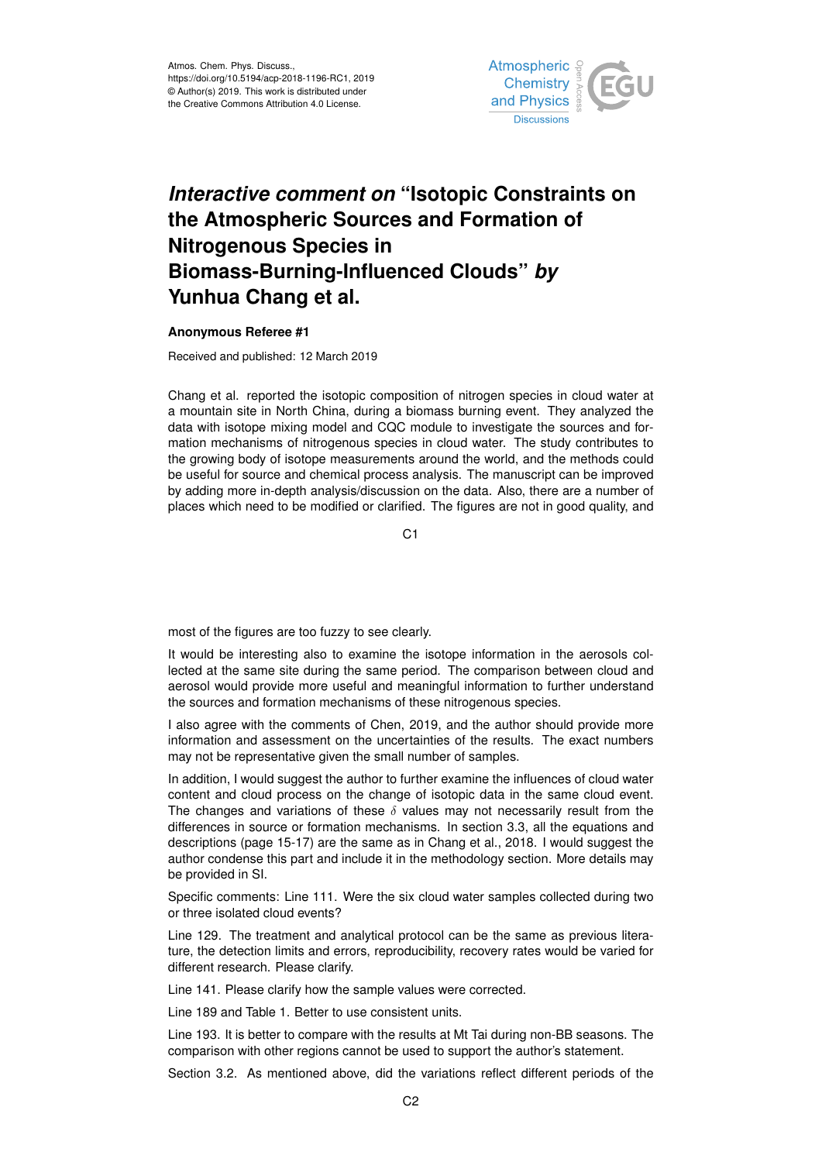

## *Interactive comment on* **"Isotopic Constraints on the Atmospheric Sources and Formation of Nitrogenous Species in Biomass-Burning-Influenced Clouds"** *by* **Yunhua Chang et al.**

## **Anonymous Referee #1**

Received and published: 12 March 2019

Chang et al. reported the isotopic composition of nitrogen species in cloud water at a mountain site in North China, during a biomass burning event. They analyzed the data with isotope mixing model and CQC module to investigate the sources and formation mechanisms of nitrogenous species in cloud water. The study contributes to the growing body of isotope measurements around the world, and the methods could be useful for source and chemical process analysis. The manuscript can be improved by adding more in-depth analysis/discussion on the data. Also, there are a number of places which need to be modified or clarified. The figures are not in good quality, and

C1

most of the figures are too fuzzy to see clearly.

It would be interesting also to examine the isotope information in the aerosols collected at the same site during the same period. The comparison between cloud and aerosol would provide more useful and meaningful information to further understand the sources and formation mechanisms of these nitrogenous species.

I also agree with the comments of Chen, 2019, and the author should provide more information and assessment on the uncertainties of the results. The exact numbers may not be representative given the small number of samples.

In addition, I would suggest the author to further examine the influences of cloud water content and cloud process on the change of isotopic data in the same cloud event. The changes and variations of these  $\delta$  values may not necessarily result from the differences in source or formation mechanisms. In section 3.3, all the equations and descriptions (page 15-17) are the same as in Chang et al., 2018. I would suggest the author condense this part and include it in the methodology section. More details may be provided in SI.

Specific comments: Line 111. Were the six cloud water samples collected during two or three isolated cloud events?

Line 129. The treatment and analytical protocol can be the same as previous literature, the detection limits and errors, reproducibility, recovery rates would be varied for different research. Please clarify.

Line 141. Please clarify how the sample values were corrected.

Line 189 and Table 1. Better to use consistent units.

Line 193. It is better to compare with the results at Mt Tai during non-BB seasons. The comparison with other regions cannot be used to support the author's statement.

Section 3.2. As mentioned above, did the variations reflect different periods of the